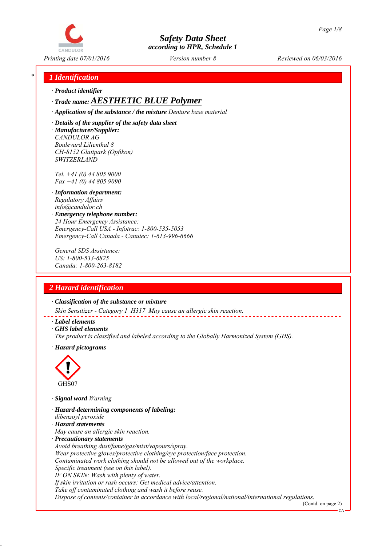

*Printing date 07/01/2016 Reviewed on 06/03/2016 Version number 8*

## *\* 1 Identification*

*∙ Product identifier*

## *∙ Trade name: AESTHETIC BLUE Polymer*

*∙ Application of the substance / the mixture Denture base material*

*∙ Details of the supplier of the safety data sheet ∙ Manufacturer/Supplier: CANDULOR AG Boulevard Lilienthal 8 CH-8152 Glattpark (Opfikon) SWITZERLAND*

*Tel. +41 (0) 44 805 9000 Fax +41 (0) 44 805 9090*

- *∙ Information department: Regulatory Affairs info@candulor.ch*
- *∙ Emergency telephone number: 24 Hour Emergency Assistance: Emergency-Call USA - Infotrac: 1-800-535-5053 Emergency-Call Canada - Canutec: 1-613-996-6666*

*General SDS Assistance: US: 1-800-533-6825 Canada: 1-800-263-8182*

## *2 Hazard identification*

*∙ Classification of the substance or mixture*

*Skin Sensitizer - Category 1 H317 May cause an allergic skin reaction.*

- *∙ Label elements*
- *∙ GHS label elements*
- *The product is classified and labeled according to the Globally Harmonized System (GHS).*
- *∙ Hazard pictograms*



*∙ Signal word Warning*

- *∙ Hazard-determining components of labeling:*
- *dibenzoyl peroxide*
- *∙ Hazard statements*
- *May cause an allergic skin reaction.*
- *∙ Precautionary statements*
- *Avoid breathing dust/fume/gas/mist/vapours/spray.*

*Wear protective gloves/protective clothing/eye protection/face protection.*

- *Contaminated work clothing should not be allowed out of the workplace.*
- *Specific treatment (see on this label).*
- *IF ON SKIN: Wash with plenty of water.*

*If skin irritation or rash occurs: Get medical advice/attention.*

*Take off contaminated clothing and wash it before reuse.*

*Dispose of contents/container in accordance with local/regional/national/international regulations.*

(Contd. on page 2) CA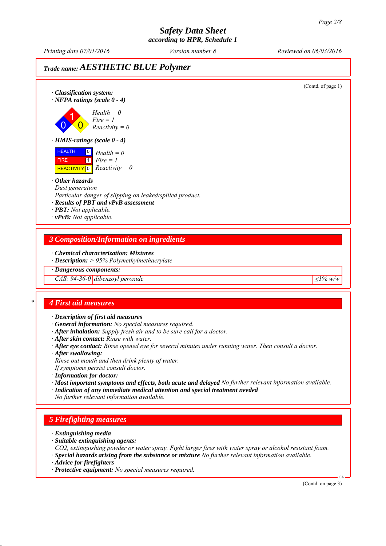# *Safety Data Sheet*

*according to HPR, Schedule 1*

*Printing date 07/01/2016 Reviewed on 06/03/2016 Version number 8*

## *Trade name: AESTHETIC BLUE Polymer*

(Contd. of page 1) *∙ Classification system: ∙ NFPA ratings (scale 0 - 4)* 0 1  $\overline{\mathbf{0}}$ *Health = 0 Fire = 1 Reactivity = 0 ∙ HMIS-ratings (scale 0 - 4)* HEALTH FIRE  $\overline{REACTIVITY \, 0}$  *Reactivity = 0* 0 *Health = 0* 1 *Fire = 1 ∙ Other hazards Dust generation Particular danger of slipping on leaked/spilled product. ∙ Results of PBT and vPvB assessment ∙ PBT: Not applicable. ∙ vPvB: Not applicable. 3 Composition/Information on ingredients ∙ Chemical characterization: Mixtures ∙ Description: > 95% Polymethylmethacrylate ∙ Dangerous components: CAS:* 94-36-0 dibenzoyl peroxide  $\leq 1\%$  w/w *\* 4 First aid measures ∙ Description of first aid measures ∙ General information: No special measures required. ∙ After inhalation: Supply fresh air and to be sure call for a doctor. ∙ After skin contact: Rinse with water. ∙ After eye contact: Rinse opened eye for several minutes under running water. Then consult a doctor. ∙ After swallowing: Rinse out mouth and then drink plenty of water. If symptoms persist consult doctor. ∙ Information for doctor: ∙ Most important symptoms and effects, both acute and delayed No further relevant information available. ∙ Indication of any immediate medical attention and special treatment needed No further relevant information available. 5 Firefighting measures ∙ Extinguishing media ∙ Suitable extinguishing agents: CO2, extinguishing powder or water spray. Fight larger fires with water spray or alcohol resistant foam. ∙ Special hazards arising from the substance or mixture No further relevant information available. ∙ Advice for firefighters ∙ Protective equipment: No special measures required.* CA (Contd. on page 3)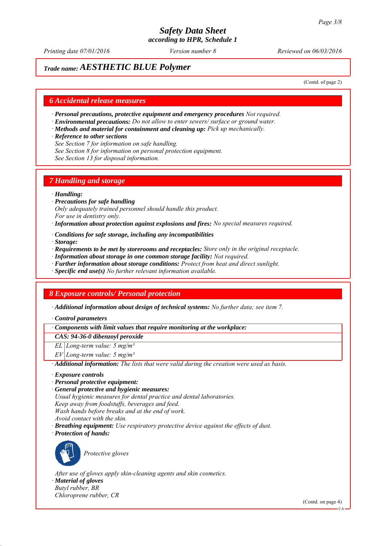*Printing date 07/01/2016 Reviewed on 06/03/2016 Version number 8*

## *Trade name: AESTHETIC BLUE Polymer*

(Contd. of page 2)

#### *6 Accidental release measures*

- *∙ Personal precautions, protective equipment and emergency procedures Not required.*
- *∙ Environmental precautions: Do not allow to enter sewers/ surface or ground water.*
- *∙ Methods and material for containment and cleaning up: Pick up mechanically.*
- *∙ Reference to other sections*
- *See Section 7 for information on safe handling.*
- *See Section 8 for information on personal protection equipment.*
- *See Section 13 for disposal information.*

#### *7 Handling and storage*

#### *∙ Handling:*

- *∙ Precautions for safe handling Only adequately trained personnel should handle this product. For use in dentistry only.*
- *∙ Information about protection against explosions and fires: No special measures required.*
- *∙ Conditions for safe storage, including any incompatibilities*
- *∙ Storage:*
- *∙ Requirements to be met by storerooms and receptacles: Store only in the original receptacle.*
- *∙ Information about storage in one common storage facility: Not required.*
- *∙ Further information about storage conditions: Protect from heat and direct sunlight.*
- *∙ Specific end use(s) No further relevant information available.*

#### *8 Exposure controls/ Personal protection*

*∙ Additional information about design of technical systems: No further data; see item 7.*

*∙ Control parameters*

*∙ Components with limit values that require monitoring at the workplace:*

*CAS: 94-36-0 dibenzoyl peroxide*

*EL Long-term value: 5 mg/m³*

*EV Long-term value: 5 mg/m³*

*∙ Additional information: The lists that were valid during the creation were used as basis.*

- *∙ Exposure controls*
- *∙ Personal protective equipment:*

*∙ General protective and hygienic measures: Usual hygienic measures for dental practice and dental laboratories. Keep away from foodstuffs, beverages and feed. Wash hands before breaks and at the end of work. Avoid contact with the skin. ∙ Breathing equipment: Use respiratory protective device against the effects of dust.*

*∙ Protection of hands:*



*Protective gloves*

*After use of gloves apply skin-cleaning agents and skin cosmetics.*

*∙ Material of gloves Butyl rubber, BR*

*Chloroprene rubber, CR*

(Contd. on page 4)

CA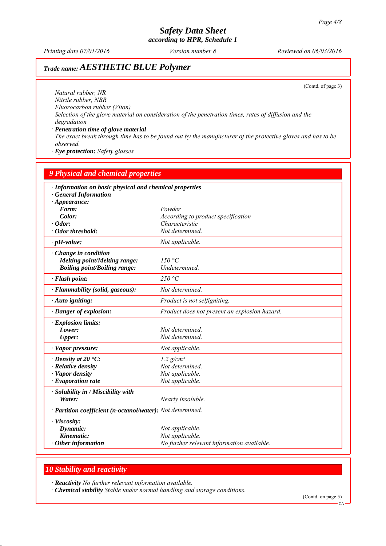*Printing date 07/01/2016 Reviewed on 06/03/2016 Version number 8*

# *Trade name: AESTHETIC BLUE Polymer*

(Contd. of page 3)

*Natural rubber, NR Nitrile rubber, NBR Fluorocarbon rubber (Viton) Selection of the glove material on consideration of the penetration times, rates of diffusion and the degradation*

*∙ Penetration time of glove material The exact break through time has to be found out by the manufacturer of the protective gloves and has to be observed.*

*∙ Eye protection: Safety glasses*

| <b>9 Physical and chemical properties</b><br>· Information on basic physical and chemical properties<br>· General Information<br>$\cdot$ Appearance: |                                               |
|------------------------------------------------------------------------------------------------------------------------------------------------------|-----------------------------------------------|
|                                                                                                                                                      |                                               |
| Color:                                                                                                                                               | According to product specification            |
| $\cdot$ Odor:                                                                                                                                        | Characteristic                                |
| · Odor threshold:                                                                                                                                    | Not determined.                               |
| $\cdot$ pH-value:                                                                                                                                    | Not applicable.                               |
| $\cdot$ Change in condition<br><b>Melting point/Melting range:</b><br><b>Boiling point/Boiling range:</b>                                            | 150 °C<br>Undetermined.                       |
| $\cdot$ Flash point:                                                                                                                                 | 250 °C                                        |
| · Flammability (solid, gaseous):                                                                                                                     | Not determined.                               |
| · Auto igniting:                                                                                                                                     | Product is not selfigniting.                  |
| · Danger of explosion:                                                                                                                               | Product does not present an explosion hazard. |
| $\cdot$ Explosion limits:                                                                                                                            |                                               |
| Lower:                                                                                                                                               | Not determined.                               |
| <b>Upper:</b>                                                                                                                                        | Not determined.                               |
| · Vapor pressure:                                                                                                                                    | Not applicable.                               |
| $\cdot$ Density at 20 $\textdegree$ C:                                                                                                               | $1.2$ g/cm <sup>3</sup>                       |
| $\cdot$ Relative density                                                                                                                             | Not determined.                               |
| · Vapor density                                                                                                                                      | Not applicable.                               |
| $\cdot$ Evaporation rate                                                                                                                             | Not applicable.                               |
| · Solubility in / Miscibility with                                                                                                                   |                                               |
| Water:                                                                                                                                               | Nearly insoluble.                             |
| · Partition coefficient (n-octanol/water): Not determined.                                                                                           |                                               |
| · Viscosity:                                                                                                                                         |                                               |
| Dynamic:                                                                                                                                             | Not applicable.                               |
| Kinematic:                                                                                                                                           | Not applicable.                               |
| $\cdot$ Other information                                                                                                                            | No further relevant information available.    |

#### *10 Stability and reactivity*

*∙ Reactivity No further relevant information available.*

*∙ Chemical stability Stable under normal handling and storage conditions.*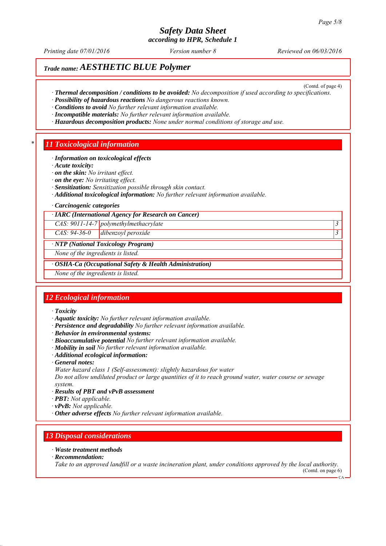# *Safety Data Sheet*

*according to HPR, Schedule 1*

*Printing date 07/01/2016 Reviewed on 06/03/2016 Version number 8*

(Contd. of page 4)

## *Trade name: AESTHETIC BLUE Polymer*

- *∙ Thermal decomposition / conditions to be avoided: No decomposition if used according to specifications.*
- *∙ Possibility of hazardous reactions No dangerous reactions known.*
- *∙ Conditions to avoid No further relevant information available.*
- *∙ Incompatible materials: No further relevant information available.*
- *∙ Hazardous decomposition products: None under normal conditions of storage and use.*

#### *\* 11 Toxicological information*

- *∙ Information on toxicological effects*
- *∙ Acute toxicity:*
- *∙ on the skin: No irritant effect.*
- *∙ on the eye: No irritating effect.*
- *∙ Sensitization: Sensitization possible through skin contact.*
- *∙ Additional toxicological information: No further relevant information available.*
- *∙ Carcinogenic categories*
- *∙ IARC (International Agency for Research on Cancer)*

*CAS: 9011-14-7 polymethylmethacrylate 3* 

*CAS: 94-36-0 dibenzoyl peroxide 3* 

#### *∙ NTP (National Toxicology Program)*

*None of the ingredients is listed.*

*∙ OSHA-Ca (Occupational Safety & Health Administration)*

*None of the ingredients is listed.*

### *12 Ecological information*

- *∙ Toxicity*
- *∙ Aquatic toxicity: No further relevant information available.*
- *∙ Persistence and degradability No further relevant information available.*
- *∙ Behavior in environmental systems:*
- *∙ Bioaccumulative potential No further relevant information available.*
- *∙ Mobility in soil No further relevant information available.*
- *∙ Additional ecological information:*
- *∙ General notes:*
- *Water hazard class 1 (Self-assessment): slightly hazardous for water*

*Do not allow undiluted product or large quantities of it to reach ground water, water course or sewage system.*

- *∙ Results of PBT and vPvB assessment*
- *∙ PBT: Not applicable.*
- *∙ vPvB: Not applicable.*
- *∙ Other adverse effects No further relevant information available.*

### *13 Disposal considerations*

#### *∙ Waste treatment methods*

*∙ Recommendation:*

*Take to an approved landfill or a waste incineration plant, under conditions approved by the local authority.* (Contd. on page 6)

 $CA$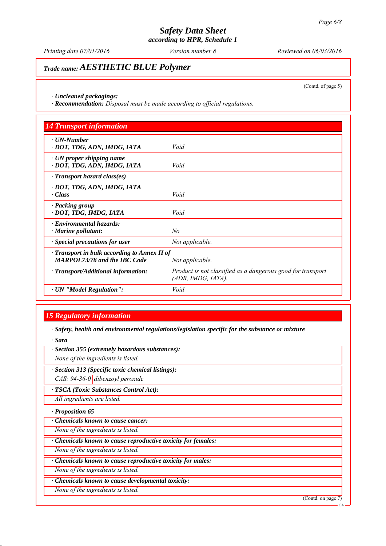*Printing date 07/01/2016 Reviewed on 06/03/2016 Version number 8*

## *Trade name: AESTHETIC BLUE Polymer*

(Contd. of page 5)

*∙ Uncleaned packagings:*

*∙ Recommendation: Disposal must be made according to official regulations.*

| <b>14 Transport information</b>                                                     |                                                                                   |
|-------------------------------------------------------------------------------------|-----------------------------------------------------------------------------------|
| $\cdot$ UN-Number<br>· DOT, TDG, ADN, IMDG, IATA                                    | Void                                                                              |
| $\cdot$ UN proper shipping name<br>· DOT, TDG, ADN, IMDG, IATA                      | Void                                                                              |
| $\cdot$ Transport hazard class(es)                                                  |                                                                                   |
| · DOT, TDG, ADN, IMDG, IATA<br>$\cdot Class$                                        | Void                                                                              |
| · Packing group<br>· DOT, TDG, IMDG, IATA                                           | Void                                                                              |
| · Environmental hazards:<br>$\cdot$ Marine pollutant:                               | No                                                                                |
| · Special precautions for user                                                      | Not applicable.                                                                   |
| · Transport in bulk according to Annex II of<br><b>MARPOL73/78 and the IBC Code</b> | Not applicable.                                                                   |
| · Transport/Additional information:                                                 | Product is not classified as a dangerous good for transport<br>(ADR, IMDG, IATA). |
| · UN "Model Regulation":                                                            | Void                                                                              |

### *15 Regulatory information*

*∙ Safety, health and environmental regulations/legislation specific for the substance or mixture*

*∙ Sara*

*∙ Section 355 (extremely hazardous substances):*

*None of the ingredients is listed.*

*∙ Section 313 (Specific toxic chemical listings):*

*CAS: 94-36-0 dibenzoyl peroxide*

*∙ TSCA (Toxic Substances Control Act):*

*All ingredients are listed.*

*∙ Proposition 65*

*∙ Chemicals known to cause cancer:*

*None of the ingredients is listed.*

*∙ Chemicals known to cause reproductive toxicity for females:*

*None of the ingredients is listed.*

*∙ Chemicals known to cause reproductive toxicity for males:*

*None of the ingredients is listed.*

*∙ Chemicals known to cause developmental toxicity:*

*None of the ingredients is listed.*

(Contd. on page 7)

CA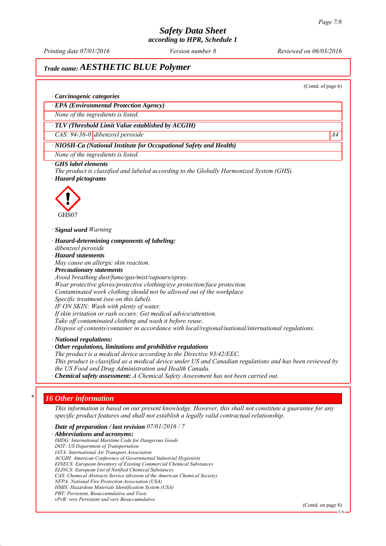*Printing date 07/01/2016 Reviewed on 06/03/2016 Version number 8*

## *Trade name: AESTHETIC BLUE Polymer*

(Contd. of page 6)

#### *∙ Carcinogenic categories*

*∙ EPA (Environmental Protection Agency)*

*None of the ingredients is listed.*

#### *∙ TLV (Threshold Limit Value established by ACGIH)*

*CAS: 94-36-0 dibenzoyl peroxide* A4

#### *∙ NIOSH-Ca (National Institute for Occupational Safety and Health)*

*None of the ingredients is listed.*

#### *∙ GHS label elements*

*The product is classified and labeled according to the Globally Harmonized System (GHS). ∙ Hazard pictograms*



*∙ Signal word Warning*

*∙ Hazard-determining components of labeling:*

- *dibenzoyl peroxide*
- *∙ Hazard statements*

*May cause an allergic skin reaction.*

*∙ Precautionary statements Avoid breathing dust/fume/gas/mist/vapours/spray. Wear protective gloves/protective clothing/eye protection/face protection.*

*Contaminated work clothing should not be allowed out of the workplace.*

*Specific treatment (see on this label).*

*IF ON SKIN: Wash with plenty of water.*

*If skin irritation or rash occurs: Get medical advice/attention.*

*Take off contaminated clothing and wash it before reuse.*

*Dispose of contents/container in accordance with local/regional/national/international regulations.*

*∙ National regulations:*

*∙ Other regulations, limitations and prohibitive regulations*

*The product is a medical device according to the Directive 93/42/EEC. This product is classified as a medical device under US and Canadian regulations and has been reviewed by the US Food and Drug Administration and Health Canada.*

*∙ Chemical safety assessment: A Chemical Safety Assessment has not been carried out.*

#### *\* 16 Other information*

*This information is based on our present knowledge. However, this shall not constitute a guarantee for any specific product features and shall not establish a legally valid contractual relationship.*

*∙ Date of preparation / last revision 07/01/2016 / 7*

*∙ Abbreviations and acronyms: IMDG: International Maritime Code for Dangerous Goods DOT: US Department of Transportation IATA: International Air Transport Association ACGIH: American Conference of Governmental Industrial Hygienists EINECS: European Inventory of Existing Commercial Chemical Substances ELINCS: European List of Notified Chemical Substances CAS: Chemical Abstracts Service (division of the American Chemical Society) NFPA: National Fire Protection Association (USA) HMIS: Hazardous Materials Identification System (USA) PBT: Persistent, Bioaccumulative and Toxic vPvB: very Persistent and very Bioaccumulative*

(Contd. on page 8)

CA